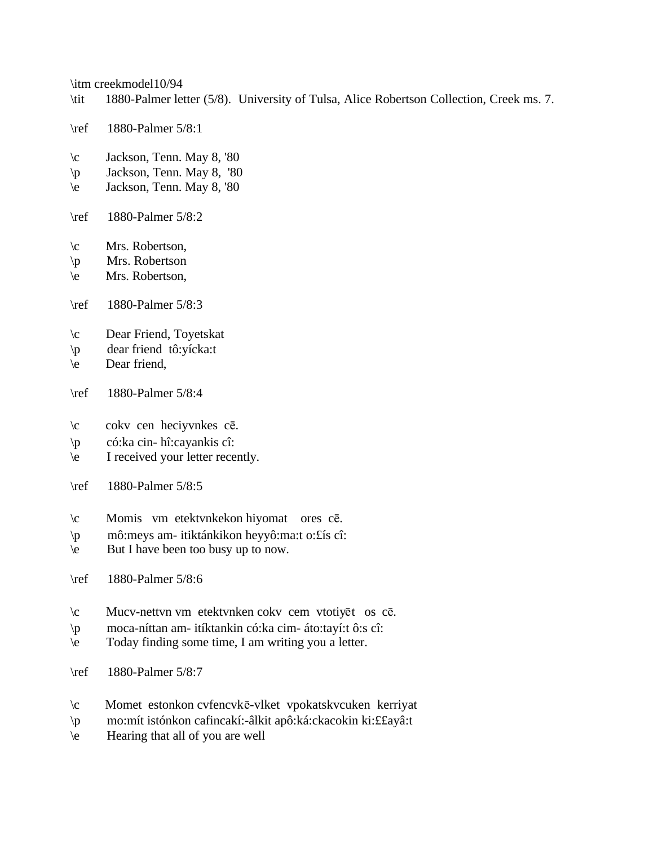\itm creekmodel10/94

- \tit 1880-Palmer letter (5/8). University of Tulsa, Alice Robertson Collection, Creek ms. 7.
- \ref 1880-Palmer 5/8:1
- \c Jackson, Tenn. May 8, '80
- \p Jackson, Tenn. May 8, '80
- \e Jackson, Tenn. May 8, '80
- \ref 1880-Palmer 5/8:2
- \c Mrs. Robertson,
- \p Mrs. Robertson
- \e Mrs. Robertson,
- \ref 1880-Palmer 5/8:3
- \c Dear Friend, Toyetskat
- \p dear friend tô:yícka:t
- \e Dear friend,
- \ref 1880-Palmer 5/8:4
- $\c$  cokv cen heciyvnkes c $\bar{e}$ .
- \p có:ka cin- hî:cayankis cî:
- \e I received your letter recently.
- \ref 1880-Palmer 5/8:5
- \c Momis vm etektvnkekon hiyomat ores cē.
- \p mô:meys am- itiktánkikon heyyô:ma:t o:£ís cî:
- \e But I have been too busy up to now.
- \ref 1880-Palmer 5/8:6
- $\c$  Mucv-nettvn vm etektvnken cokv cem vtotiyēt os cē.
- \p moca-níttan am- itíktankin có:ka cim- áto:tayí:t ô:s cî:
- \e Today finding some time, I am writing you a letter.
- \ref 1880-Palmer 5/8:7
- $\c$  Momet estonkon cvfencvkē-vlket vpokatskvcuken kerriyat
- \p mo:mít istónkon cafincakí:-âlkit apô:ká:ckacokin ki:££ayâ:t
- \e Hearing that all of you are well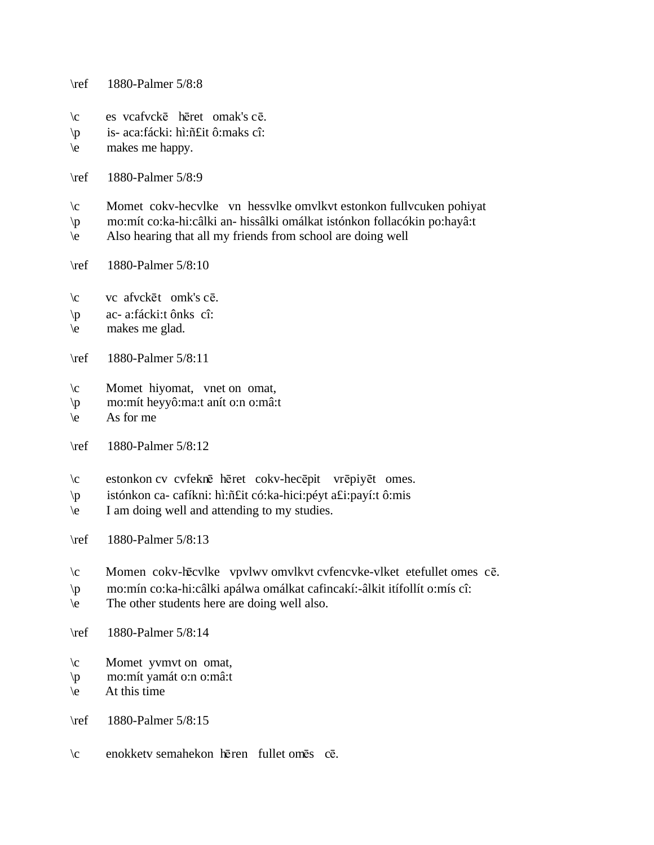\ref 1880-Palmer 5/8:8

- \c es vcafvcke heret omak's ce.
- \p is- aca:fácki: hì:ñ£it ô:maks cî:
- \e makes me happy.
- \ref 1880-Palmer 5/8:9
- \c Momet cokv-hecvlke vn hessvlke omvlkvt estonkon fullvcuken pohiyat
- \p mo:mít co:ka-hi:câlki an- hissâlki omálkat istónkon follacókin po:hayâ:t
- \e Also hearing that all my friends from school are doing well
- \ref 1880-Palmer 5/8:10
- \c vc afvcket omk's ce.
- \p ac- a:fácki:t ônks cî:
- \e makes me glad.
- \ref 1880-Palmer 5/8:11
- \c Momet hiyomat, vnet on omat,
- \p mo:mít heyyô:ma:t anít o:n o:mâ:t
- $\leq$  As for me
- \ref 1880-Palmer 5/8:12
- \c estonkon cv cvfeknē hēret cokv-hecēpit vrēpiyēt omes.
- \p istónkon ca- cafíkni: hì:ñ£it có:ka-hici:péyt a£i:payí:t ô:mis
- \e I am doing well and attending to my studies.
- \ref 1880-Palmer 5/8:13
- $\c$  Momen cokv-hēcvlke vpvlwv omvlkvt cvfencvke-vlket etefullet omes cē.
- \p mo:mín co:ka-hi:câlki apálwa omálkat cafincakí:-âlkit itífollít o:mís cî:
- \e The other students here are doing well also.
- \ref 1880-Palmer 5/8:14
- \c Momet yvmvt on omat,
- \p mo:mít yamát o:n o:mâ:t
- \e At this time

\ref 1880-Palmer 5/8:15

\c enokketv semahekon hēren fullet omēs cē.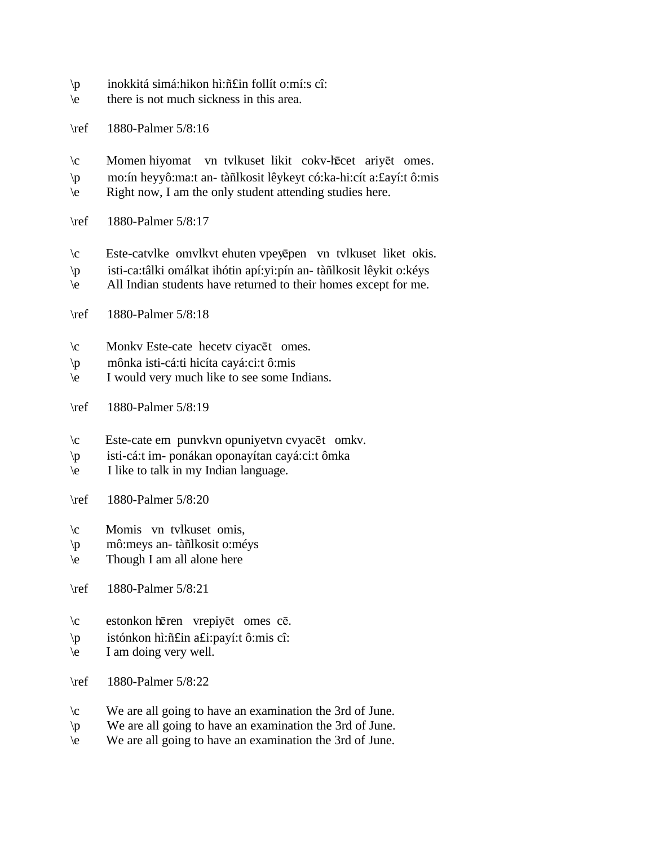- \p inokkitá simá:hikon hì:ñ£in follít o:mí:s cî:
- \e there is not much sickness in this area.
- \ref 1880-Palmer 5/8:16
- $\c$  Momen hiyomat vn tvlkuset likit cokv-hēcet ariyēt omes.
- \p mo:ín heyyô:ma:t an- tàñlkosit lêykeyt có:ka-hi:cít a:£ayí:t ô:mis
- \e Right now, I am the only student attending studies here.
- \ref 1880-Palmer 5/8:17
- $\c$  Este-catvlke omvlkvt ehuten vpeyēpen vn tvlkuset liket okis.
- \p isti-ca:tâlki omálkat ihótin apí:yi:pín an- tàñlkosit lêykit o:kéys
- \e All Indian students have returned to their homes except for me.
- \ref 1880-Palmer 5/8:18
- $\c$  Monkv Este-cate hecety ciyacet omes.
- \p mônka isti-cá:ti hicíta cayá:ci:t ô:mis
- \e I would very much like to see some Indians.
- \ref 1880-Palmer 5/8:19
- $\c$  Este-cate em punvkvn opuniyetvn cvyacēt omkv.
- \p isti-cá:t im- ponákan oponayítan cayá:ci:t ômka
- \e I like to talk in my Indian language.
- \ref 1880-Palmer 5/8:20
- \c Momis vn tvlkuset omis,
- \p mô:meys an- tàñlkosit o:méys
- \e Though I am all alone here
- \ref 1880-Palmer 5/8:21
- \c estonkon hēren vrepiyēt omes cē.
- \p istónkon hì:ñ£in a£i:payí:t ô:mis cî:
- \e I am doing very well.
- \ref 1880-Palmer 5/8:22
- \c We are all going to have an examination the 3rd of June.
- \p We are all going to have an examination the 3rd of June.
- \e We are all going to have an examination the 3rd of June.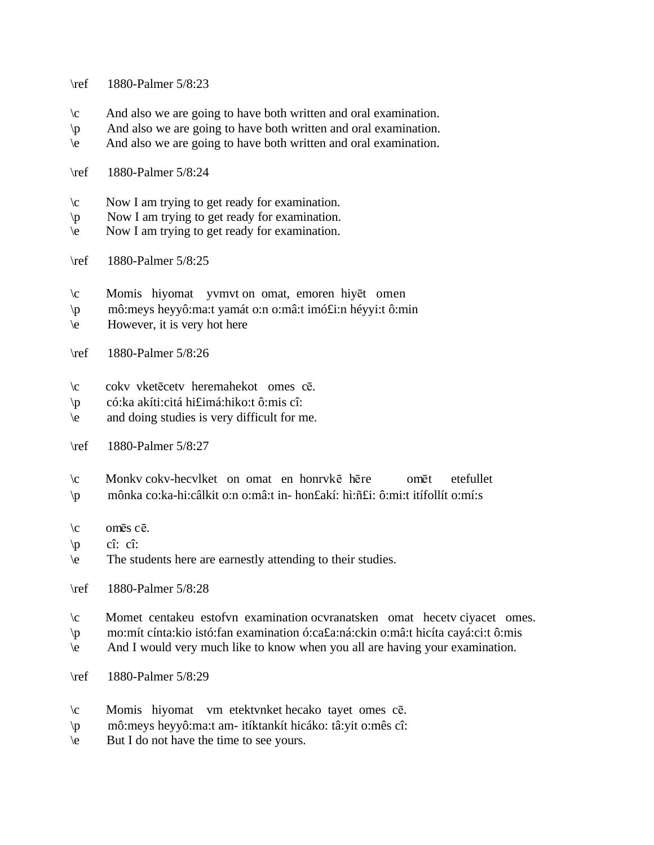\ref 1880-Palmer 5/8:23

- \c And also we are going to have both written and oral examination.
- \p And also we are going to have both written and oral examination.
- \e And also we are going to have both written and oral examination.
- \ref 1880-Palmer 5/8:24
- \c Now I am trying to get ready for examination.
- \p Now I am trying to get ready for examination.
- \e Now I am trying to get ready for examination.
- \ref 1880-Palmer 5/8:25
- $\c$  Momis hiyomat yvmvt on omat, emoren hiy $\vec{e}$  omen
- \p mô:meys heyyô:ma:t yamát o:n o:mâ:t imó£i:n héyyi:t ô:min
- \e However, it is very hot here
- \ref 1880-Palmer 5/8:26
- \c cokv vketēcetv heremahekot omes cē.
- \p có:ka akíti:citá hi£imá:hiko:t ô:mis cî:
- \e and doing studies is very difficult for me.
- \ref 1880-Palmer 5/8:27
- $\c$  Monkv cokv-hecvlket on omat en honryk $\bar{e}$  here omet etefullet
- \p mônka co:ka-hi:câlkit o:n o:mâ:t in- hon£akí: hì:ñ£i: ô:mi:t itífollít o:mí:s
- $\operatorname{cm\ddot{e}s}$  c $\overline{e}$ .
- $\vert p \vert$  cî: cî:
- \e The students here are earnestly attending to their studies.
- \ref 1880-Palmer 5/8:28
- \c Momet centakeu estofvn examination ocvranatsken omat hecetv ciyacet omes.
- \p mo:mít cínta:kio istó:fan examination ó:ca£a:ná:ckin o:mâ:t hicíta cayá:ci:t ô:mis
- \e And I would very much like to know when you all are having your examination.
- \ref 1880-Palmer 5/8:29
- $\c$  Momis hiyomat vm etektvnket hecako tayet omes cē.
- \p mô:meys heyyô:ma:t am- itíktankít hicáko: tâ:yit o:mês cî:
- \e But I do not have the time to see yours.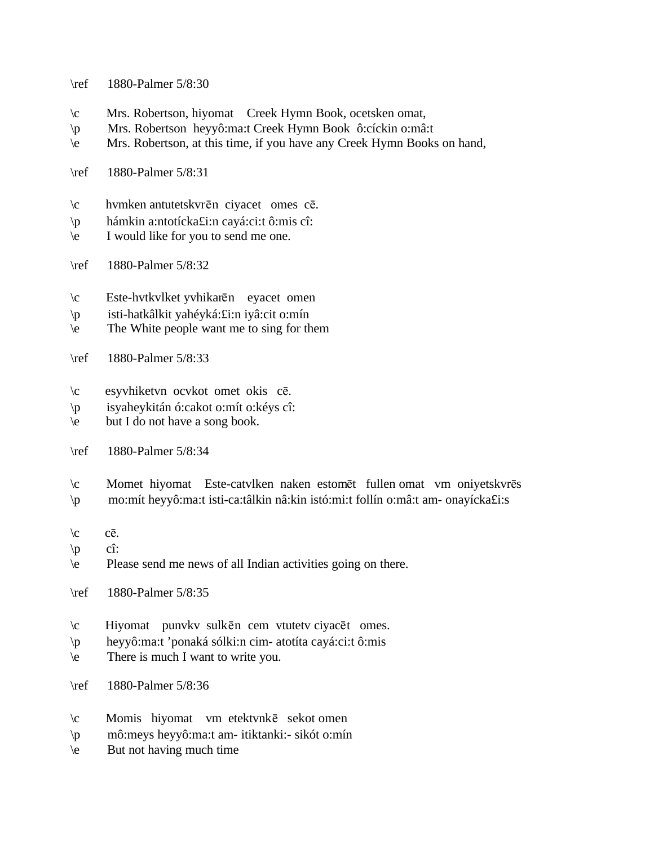- \ref 1880-Palmer 5/8:30
- \c Mrs. Robertson, hiyomat Creek Hymn Book, ocetsken omat,
- \p Mrs. Robertson heyyô:ma:t Creek Hymn Book ô:cíckin o:mâ:t
- \e Mrs. Robertson, at this time, if you have any Creek Hymn Books on hand,
- \ref 1880-Palmer 5/8:31
- $\c$  hvmken antutetskvrēn ciyacet omes cē.
- \p hámkin a:ntotícka£i:n cayá:ci:t ô:mis cî:
- \e I would like for you to send me one.
- \ref 1880-Palmer 5/8:32
- \c Este-hvtkvlket yvhikarēn eyacet omen
- \p isti-hatkâlkit yahéyká:£i:n iyâ:cit o:mín
- \e The White people want me to sing for them
- \ref 1880-Palmer 5/8:33
- \c esyvhiketvn ocvkot omet okis c¬.
- \p isyaheykitán ó:cakot o:mít o:kéys cî:
- \e but I do not have a song book.
- \ref 1880-Palmer 5/8:34
- \c Momet hiyomat Este-catvlken naken estomet fullen omat vm oniyetskvres
- \p mo:mít heyyô:ma:t isti-ca:tâlkin nâ:kin istó:mi:t follín o:mâ:t am- onayícka£i:s
- $\mathcal{C}$  cē.
- $\langle p \rangle$  cî:
- \e Please send me news of all Indian activities going on there.
- \ref 1880-Palmer 5/8:35
- $\c$  Hiyomat punvkv sulkēn cem vtutetv ciyacēt omes.
- \p heyyô:ma:t 'ponaká sólki:n cim- atotíta cayá:ci:t ô:mis
- \e There is much I want to write you.
- \ref 1880-Palmer 5/8:36
- $\c$  Momis hiyomat vm etektvnk $\bar{e}$  sekot omen
- \p mô:meys heyyô:ma:t am- itiktanki:- sikót o:mín
- $\leq$  But not having much time